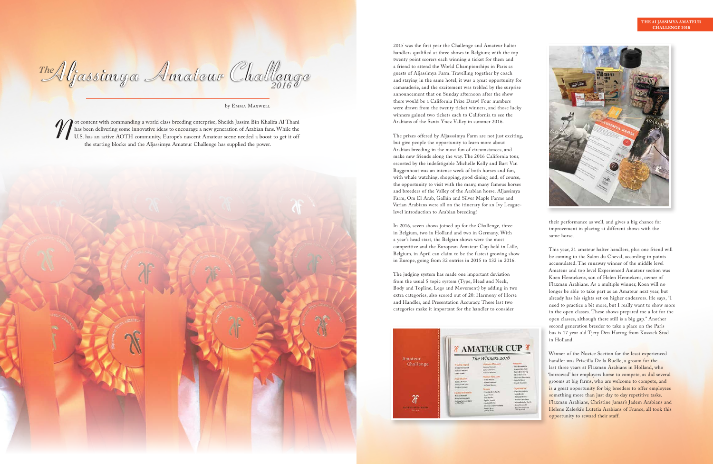

by Emma Maxwell

Thanks been delivering some innovative ideas to encourage a new generation of Arabian fans. While the U.S. has an active AOTH community, Europe's nascent Amateur scene needed a boost to get it off the starting blocks and t has been delivering some innovative ideas to encourage a new generation of Arabian fans. While the the starting blocks and the Aljassimya Amateur Challenge has supplied the power.



Aljassimya Amateur Challenge Aljassimya Amateur Challenge *The 2016*

2015 was the first year the Challenge and Amateur halter handlers qualified at three shows in Belgium; with the top twenty point scorers each winning a ticket for them and a friend to attend the World Championships in Paris as guests of Aljassimya Farm. Travelling together by coach and staying in the same hotel, it was a great opportunity for camaraderie, and the excitement was trebled by the surprise announcement that on Sunday afternoon after the show there would be a California Prize Draw! Four numbers were drawn from the twenty ticket winners, and those lucky winners gained two tickets each to California to see the Arabians of the Santa Ynez Valley in summer 2016.

The prizes offered by Aljasssimya Farm are not just exciting, but give people the opportunity to learn more about Arabian breeding in the most fun of circumstances, and make new friends along the way. The 2016 California tour, escorted by the indefatigable Michelle Kelly and Bart Van Buggenhout was an intense week of both horses and fun, with whale watching, shopping, good dining and, of course, the opportunity to visit with the many, many famous horses and breeders of the Valley of the Arabian horse. Aljassimya Farm, Om El Arab, Gallún and Silver Maple Farms and Varian Arabians were all on the itinerary for an Ivy Leaguelevel introduction to Arabian breeding!

> Winner of the Novice Section for the least experienced handler was Priscilla De la Ruelle, a groom for the last three years at Flaxman Arabians in Holland, who 'borrowed' her employers horse to compete, as did several grooms at big farms, who are welcome to compete, and is a great opportunity for big breeders to offer employees something more than just day to day repetitive tasks. Flaxman Arabians, Christine Jamar's Jadem Arabians and Helene Zaleski's Lutetia Arabians of France, all took this opportunity to reward their staff.

In 2016, seven shows joined up for the Challenge, three in Belgium, two in Holland and two in Germany. With a year's head start, the Belgian shows were the most competitive and the European Amateur Cup held in Lille, Belgium, in April can claim to be the fastest growing show in Europe, going from 32 entries in 2015 to 132 in 2016.

The judging system has made one important deviation from the usual 5 topic system (Type, Head and Neck, Body and Topline, Legs and Movement) by adding in two extra categories, also scored out of 20: Harmony of Horse and Handler, and Presentation Accuracy. These last two categories make it important for the handler to consider



their performance as well, and gives a big chance for improvement in placing at different shows with the same horse.

This year, 21 amateur halter handlers, plus one friend will be coming to the Salon du Cheval, according to points accumulated. The runaway winner of the middle level Amateur and top level Experienced Amateur section was Koen Hennekens, son of Helen Hennekens, owner of Flaxman Arabians. As a multiple winner, Koen will no longer be able to take part as an Amateur next year, but already has his sights set on higher endeavors. He says, "I need to practice a bit more, but I really want to show more in the open classes. These shows prepared me a lot for the open classes, although there still is a big gap." Another second generation breeder to take a place on the Paris bus is 17 year old Tjery Den Hartog from Kossack Stud in Holland.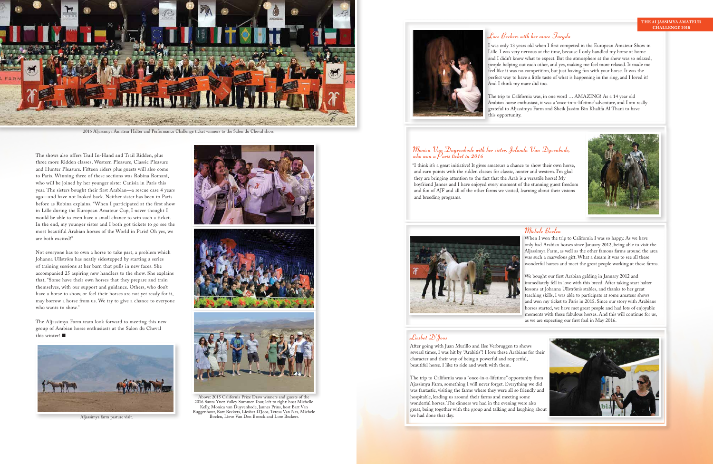The shows also offers Trail In-Hand and Trail Ridden, plus three more Ridden classes, Western Pleasure, Classic Pleasure and Hunter Pleasure. Fifteen riders plus guests will also come to Paris. Winning three of these sections was Robina Romani, who will be joined by her younger sister Canisia in Paris this year. The sisters bought their first Arabian—a rescue case 4 years ago—and have not looked back. Neither sister has been to Paris before as Robina explains, "When I participated at the first show in Lille during the European Amateur Cup, I never thought I would be able to even have a small chance to win such a ticket. In the end, my younger sister and I both got tickets to go see the most beautiful Arabian horses of the World in Paris! Oh yes, we are both excited!"

The Aljassimya Farm team look forward to meeting this new group of Arabian horse enthusiasts at the Salon du Cheval this winter! $\blacksquare$ 







Not everyone has to own a horse to take part, a problem which Johanna Ullström has neatly sidestepped by starting a series of training sessions at her barn that pulls in new faces. She accompanied 25 aspiring new handlers to the show. She explains that, "Some have their own horses that they prepare and train themselves, with our support and guidance. Others, who don't have a horse to show, or feel their horses are not yet ready for it, may borrow a horse from us. We try to give a chance to everyone who wants to show."



2016 Aljassimya Amateur Halter and Performance Challenge ticket winners to the Salon du Cheval show.



Above: 2015 California Prize Draw winners and guests of the 2016 Santa Ynez Valley Summer Tour, left to right: host Michelle Kelly, Monica van Duyvenbode, Jannes Prins, host Bart Van Buggenhout, Bart Beckers, Liesbet D'Joos, Teresa Van Nes, Michele Aljassimya farm pasture visit. Boelen, Lieve Van Den Broeck and Lore Beckers.



I was only 13 years old when I first competed in the European Amateur Show in Lille. I was very nervous at the time, because I only handled my horse at home and I didn't know what to expect. But the atmosphere at the show was so relaxed, people helping out each other, and yes, making me feel more relaxed. It made me feel like it was no competition, but just having fun with your horse. It was the perfect way to have a little taste of what is happening in the ring, and I loved it! And I think my mare did too.

### Monica Van Duyvenbode with her sister, Jolanda Van Dyvenbode, who won a  $\beta$ aris ticket in 2016

The trip to California was, in one word … AMAZING! As a 14 year old Arabian horse enthusiast, it was a 'once-in-a-lifetime' adventure, and I am really grateful to Aljassimya Farm and Sheik Jassim Bin Khalifa Al Thani to have this opportunity.

"I think it's a great initiative! It gives amateurs a chance to show their own horse, and earn points with the ridden classes for classic, hunter and western. I'm glad they are bringing attention to the fact that the Arab is a versatile horse! My boyfriend Jannes and I have enjoyed every moment of the stunning guest freedom and fun of AJF and all of the other farms we visited, learning about their visions



and breeding programs.



When I won the trip to California I was so happy. As we have only had Arabian horses since January 2012, being able to visit the Aljassimya Farm, as well as the other famous farms around the area was such a marvelous gift. What a dream it was to see all these wonderful horses and meet the great people working at these farms.

We bought our first Arabian gelding in January 2012 and immediately fell in love with this breed. After taking start halter lessons at Johanna Ullström's stables, and thanks to her great teaching skills, I was able to participate at some amateur shows and won my ticket to Paris in 2015. Since our story with Arabians horses started, we have met great people and had lots of enjoyable moments with these fabulous horses. And this will continue for us, as we are expecting our first foal in May 2016.

After going with Juan Murillo and Ilse Verbruggen to shows several times, I was hit by "Arabitis"! I love these Arabians for their character and their way of being a powerful and respectful, beautiful horse. I like to ride and work with them.



The trip to California was a "once-in-a-lifetime" opportunity from Ajassimya Farm, something I will never forget. Everything we did was fantastic, visiting the farms where they were all so friendly and hospitable, leading us around their farms and meeting some wonderful horses. The dinners we had in the evening were also great, being together with the group and talking and laughing about we had done that day.

### Michele Boelen

## Lore Beckers with her mare Faryda

# Liesbet D'Joos